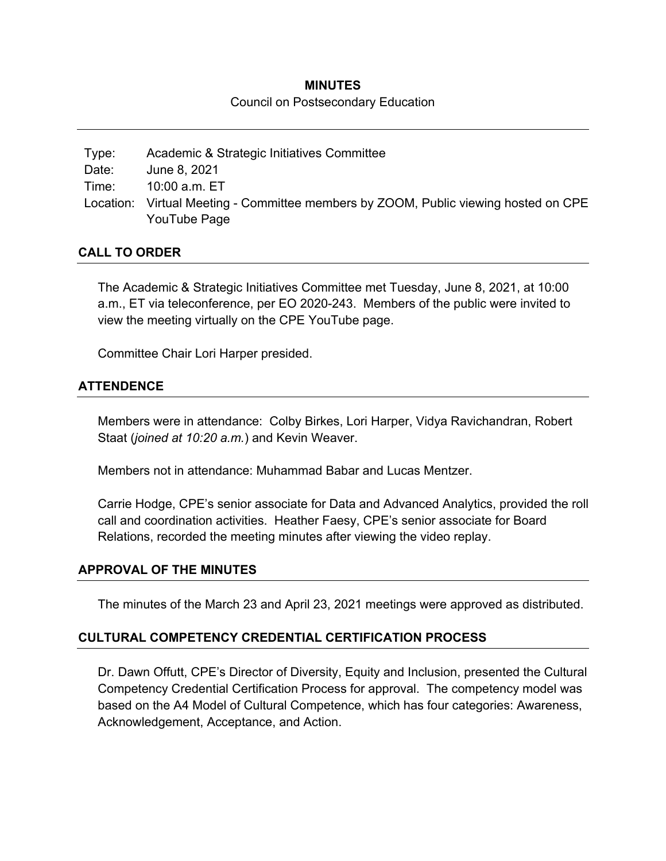#### **MINUTES**

#### Council on Postsecondary Education

Type: Academic & Strategic Initiatives Committee Date: June 8, 2021 Time: 10:00 a.m. ET Location: Virtual Meeting - Committee members by ZOOM, Public viewing hosted on CPE YouTube Page

#### **CALL TO ORDER**

The Academic & Strategic Initiatives Committee met Tuesday, June 8, 2021, at 10:00 a.m., ET via teleconference, per EO 2020-243. Members of the public were invited to view the meeting virtually on the CPE YouTube page.

Committee Chair Lori Harper presided.

#### **ATTENDENCE**

Members were in attendance: Colby Birkes, Lori Harper, Vidya Ravichandran, Robert Staat (*joined at 10:20 a.m.*) and Kevin Weaver.

Members not in attendance: Muhammad Babar and Lucas Mentzer.

Carrie Hodge, CPE's senior associate for Data and Advanced Analytics, provided the roll call and coordination activities. Heather Faesy, CPE's senior associate for Board Relations, recorded the meeting minutes after viewing the video replay.

#### **APPROVAL OF THE MINUTES**

The minutes of the March 23 and April 23, 2021 meetings were approved as distributed.

#### **CULTURAL COMPETENCY CREDENTIAL CERTIFICATION PROCESS**

Dr. Dawn Offutt, CPE's Director of Diversity, Equity and Inclusion, presented the Cultural Competency Credential Certification Process for approval. The competency model was based on the A4 Model of Cultural Competence, which has four categories: Awareness, Acknowledgement, Acceptance, and Action.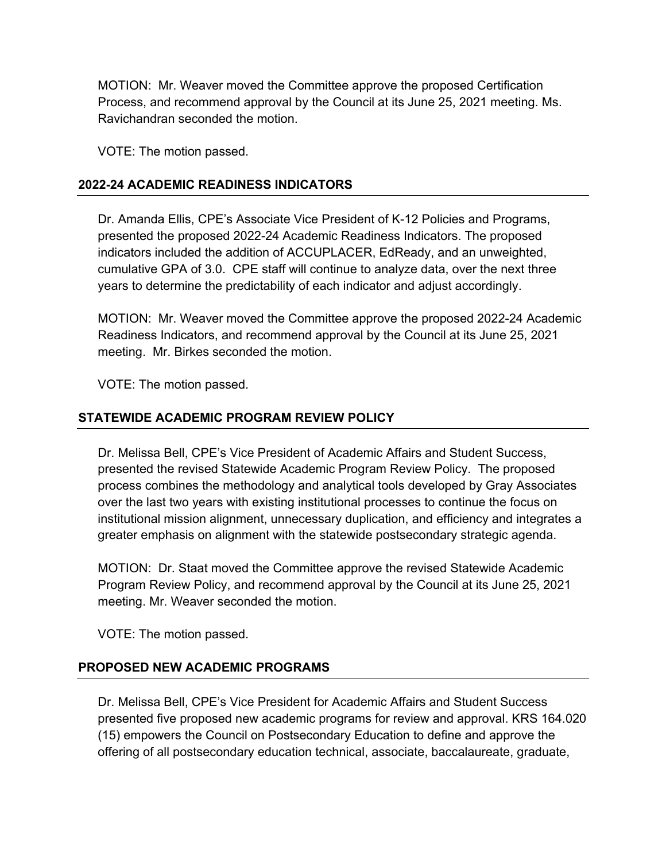MOTION: Mr. Weaver moved the Committee approve the proposed Certification Process, and recommend approval by the Council at its June 25, 2021 meeting. Ms. Ravichandran seconded the motion.

VOTE: The motion passed.

## **2022-24 ACADEMIC READINESS INDICATORS**

Dr. Amanda Ellis, CPE's Associate Vice President of K-12 Policies and Programs, presented the proposed 2022-24 Academic Readiness Indicators. The proposed indicators included the addition of ACCUPLACER, EdReady, and an unweighted, cumulative GPA of 3.0. CPE staff will continue to analyze data, over the next three years to determine the predictability of each indicator and adjust accordingly.

MOTION: Mr. Weaver moved the Committee approve the proposed 2022-24 Academic Readiness Indicators, and recommend approval by the Council at its June 25, 2021 meeting. Mr. Birkes seconded the motion.

VOTE: The motion passed.

#### **STATEWIDE ACADEMIC PROGRAM REVIEW POLICY**

Dr. Melissa Bell, CPE's Vice President of Academic Affairs and Student Success, presented the revised Statewide Academic Program Review Policy. The proposed process combines the methodology and analytical tools developed by Gray Associates over the last two years with existing institutional processes to continue the focus on institutional mission alignment, unnecessary duplication, and efficiency and integrates a greater emphasis on alignment with the statewide postsecondary strategic agenda.

MOTION: Dr. Staat moved the Committee approve the revised Statewide Academic Program Review Policy, and recommend approval by the Council at its June 25, 2021 meeting. Mr. Weaver seconded the motion.

VOTE: The motion passed.

### **PROPOSED NEW ACADEMIC PROGRAMS**

Dr. Melissa Bell, CPE's Vice President for Academic Affairs and Student Success presented five proposed new academic programs for review and approval. KRS 164.020 (15) empowers the Council on Postsecondary Education to define and approve the offering of all postsecondary education technical, associate, baccalaureate, graduate,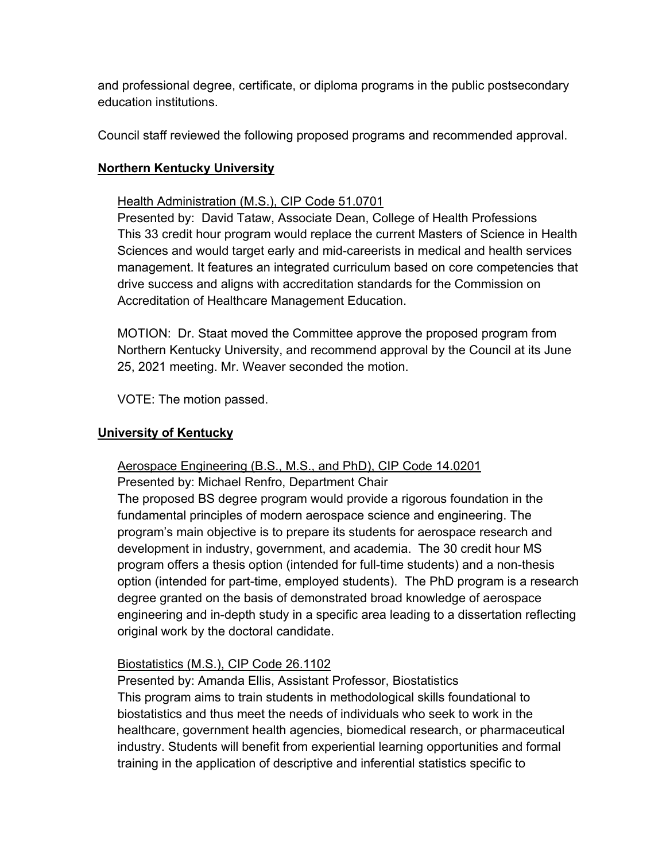and professional degree, certificate, or diploma programs in the public postsecondary education institutions.

Council staff reviewed the following proposed programs and recommended approval.

# **Northern Kentucky University**

## Health Administration (M.S.), CIP Code 51.0701

Presented by: David Tataw, Associate Dean, College of Health Professions This 33 credit hour program would replace the current Masters of Science in Health Sciences and would target early and mid-careerists in medical and health services management. It features an integrated curriculum based on core competencies that drive success and aligns with accreditation standards for the Commission on Accreditation of Healthcare Management Education.

MOTION: Dr. Staat moved the Committee approve the proposed program from Northern Kentucky University, and recommend approval by the Council at its June 25, 2021 meeting. Mr. Weaver seconded the motion.

VOTE: The motion passed.

## **University of Kentucky**

### Aerospace Engineering (B.S., M.S., and PhD), CIP Code 14.0201

Presented by: Michael Renfro, Department Chair

The proposed BS degree program would provide a rigorous foundation in the fundamental principles of modern aerospace science and engineering. The program's main objective is to prepare its students for aerospace research and development in industry, government, and academia. The 30 credit hour MS program offers a thesis option (intended for full-time students) and a non-thesis option (intended for part-time, employed students). The PhD program is a research degree granted on the basis of demonstrated broad knowledge of aerospace engineering and in-depth study in a specific area leading to a dissertation reflecting original work by the doctoral candidate.

### Biostatistics (M.S.), CIP Code 26.1102

Presented by: Amanda Ellis, Assistant Professor, Biostatistics This program aims to train students in methodological skills foundational to biostatistics and thus meet the needs of individuals who seek to work in the healthcare, government health agencies, biomedical research, or pharmaceutical industry. Students will benefit from experiential learning opportunities and formal training in the application of descriptive and inferential statistics specific to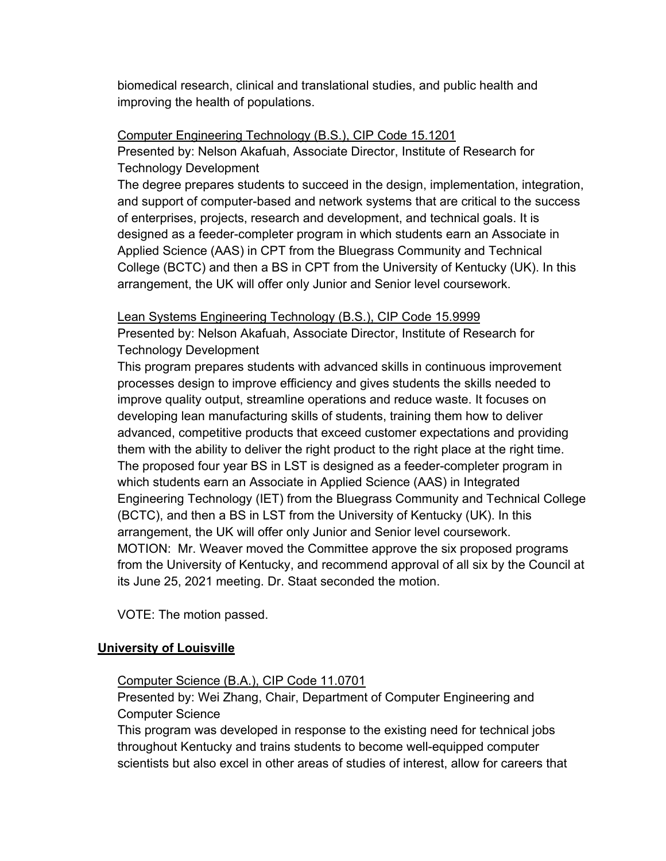biomedical research, clinical and translational studies, and public health and improving the health of populations.

# Computer Engineering Technology (B.S.), CIP Code 15.1201

Presented by: Nelson Akafuah, Associate Director, Institute of Research for Technology Development

The degree prepares students to succeed in the design, implementation, integration, and support of computer-based and network systems that are critical to the success of enterprises, projects, research and development, and technical goals. It is designed as a feeder-completer program in which students earn an Associate in Applied Science (AAS) in CPT from the Bluegrass Community and Technical College (BCTC) and then a BS in CPT from the University of Kentucky (UK). In this arrangement, the UK will offer only Junior and Senior level coursework.

# Lean Systems Engineering Technology (B.S.), CIP Code 15.9999

Presented by: Nelson Akafuah, Associate Director, Institute of Research for Technology Development

This program prepares students with advanced skills in continuous improvement processes design to improve efficiency and gives students the skills needed to improve quality output, streamline operations and reduce waste. It focuses on developing lean manufacturing skills of students, training them how to deliver advanced, competitive products that exceed customer expectations and providing them with the ability to deliver the right product to the right place at the right time. The proposed four year BS in LST is designed as a feeder-completer program in which students earn an Associate in Applied Science (AAS) in Integrated Engineering Technology (IET) from the Bluegrass Community and Technical College (BCTC), and then a BS in LST from the University of Kentucky (UK). In this arrangement, the UK will offer only Junior and Senior level coursework. MOTION: Mr. Weaver moved the Committee approve the six proposed programs from the University of Kentucky, and recommend approval of all six by the Council at its June 25, 2021 meeting. Dr. Staat seconded the motion.

VOTE: The motion passed.

### **University of Louisville**

### Computer Science (B.A.), CIP Code 11.0701

Presented by: Wei Zhang, Chair, Department of Computer Engineering and Computer Science

This program was developed in response to the existing need for technical jobs throughout Kentucky and trains students to become well-equipped computer scientists but also excel in other areas of studies of interest, allow for careers that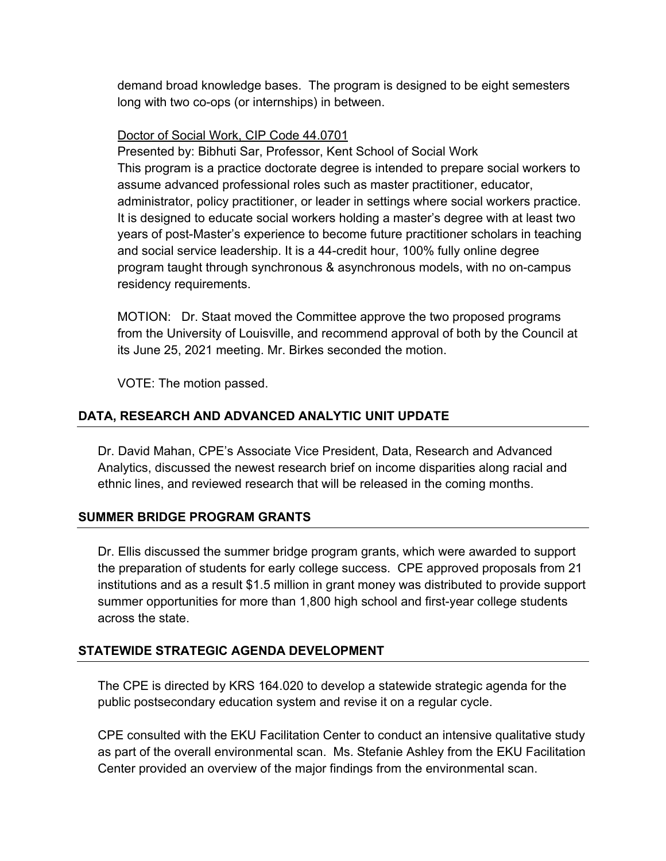demand broad knowledge bases. The program is designed to be eight semesters long with two co-ops (or internships) in between.

## Doctor of Social Work, CIP Code 44.0701

Presented by: Bibhuti Sar, Professor, Kent School of Social Work This program is a practice doctorate degree is intended to prepare social workers to assume advanced professional roles such as master practitioner, educator, administrator, policy practitioner, or leader in settings where social workers practice. It is designed to educate social workers holding a master's degree with at least two years of post-Master's experience to become future practitioner scholars in teaching and social service leadership. It is a 44-credit hour, 100% fully online degree program taught through synchronous & asynchronous models, with no on-campus residency requirements.

MOTION: Dr. Staat moved the Committee approve the two proposed programs from the University of Louisville, and recommend approval of both by the Council at its June 25, 2021 meeting. Mr. Birkes seconded the motion.

VOTE: The motion passed.

# **DATA, RESEARCH AND ADVANCED ANALYTIC UNIT UPDATE**

Dr. David Mahan, CPE's Associate Vice President, Data, Research and Advanced Analytics, discussed the newest research brief on income disparities along racial and ethnic lines, and reviewed research that will be released in the coming months.

# **SUMMER BRIDGE PROGRAM GRANTS**

Dr. Ellis discussed the summer bridge program grants, which were awarded to support the preparation of students for early college success. CPE approved proposals from 21 institutions and as a result \$1.5 million in grant money was distributed to provide support summer opportunities for more than 1,800 high school and first-year college students across the state.

# **STATEWIDE STRATEGIC AGENDA DEVELOPMENT**

The CPE is directed by KRS 164.020 to develop a statewide strategic agenda for the public postsecondary education system and revise it on a regular cycle.

CPE consulted with the EKU Facilitation Center to conduct an intensive qualitative study as part of the overall environmental scan. Ms. Stefanie Ashley from the EKU Facilitation Center provided an overview of the major findings from the environmental scan.